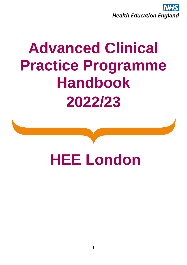

# **Advanced Clinical Practice Programme Handbook 2022/23**

# **HEE London**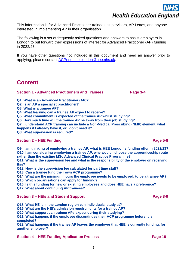This information is for Advanced Practitioner trainees, supervisors, AP Leads, and anyone interested in implementing AP in their organisation.

The following is a set of frequently asked questions and answers to assist employers in London to put forward their expressions of interest for Advanced Practitioner (AP) funding in 2022/23.

If you have other questions not included in this document and need an answer prior to applying, please contact [ACPenquirieslondon@hee.nhs.uk.](mailto:ACPenquirieslondon@hee.nhs.uk)

### **Content**

#### **Section 1 - Advanced Practitioners and Trainees Page 3-4 <b>Page 3-4**

**Q1. What is an Advanced Practitioner (AP)?** 

- **Q2. Is an AP a specialist practitioner?**
- **Q3. What is a trainee AP?**
- **Q4. What learning can a trainee AP expect to receive?**

**Q5. What commitment is expected of the trainee AP whilst studying?**

**Q6. How much time will the trainee AP be away from their job studying?**

**Q7. I understand ACP training can include a Non-Medical Prescribing (NMP) element, what happens if I already have it, or I don't need it?**

**Q8. What supervision is required?**

#### **Section 2 – HEE Funding <b>Page 5-8**

**Q9. I am thinking of employing a trainee AP, what is HEE London's funding offer in 2022/23? Q10. I am considering employing a trainee AP, why would I choose the apprenticeship route rather than the existing MSc Advanced Clinical Practice Programme?**

**Q11. What is the supervision fee and what is the responsibility of the employer on receiving this?**

**Q12. How is the supervision fee calculated for part time staff?**

**Q13. Can a trainee fund their own ACP programme?**

**Q14. What are the minimum hours the employee needs to be employed, to be a trainee AP?**

**Q15. Which organisations can apply for funding?**

**Q16. Is this funding for new or existing employees and does HEE have a preference?**

**Q17. What about continuing AP trainees?**

#### **Section 3 – HEIs and Student Support Page 8-9**

**Q18. What HEI's in the London region can individuals' study at?**

**Q19. What are the HEI's admission requirements for a trainee AP?**

**Q20. What support can trainee APs expect during their studying?**

**Q21. What happens if the employee discontinues their ACP programme before it is completed?**

**Q22. What happens if the trainee AP leaves the employer that HEE is currently funding, for another employer?**

#### **Section 4 – HEE Funding Application Process Page 10**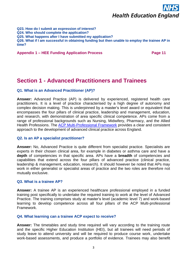**Q23. How do I submit an expression of interest? Q24. Who should complete the application? Q25. What happens after I have submitted my application? Q26. What if I am successful in obtaining funding but then unable to employ the trainee AP in time?**

#### **Appendix 1 – HEE Funding Application Process Page 11**

### **Section 1 - Advanced Practitioners and Trainees**

#### **Q1. What is an Advanced Practitioner (AP)?**

**Answer:** Advanced Practice (AP) is delivered by experienced, registered health care practitioners. It is a level of practice characterised by a high degree of autonomy and complex decision making. This is underpinned by a master's level award or equivalent that encompasses the four pillars of clinical practice, leadership and management, education, and research, with demonstration of area specific clinical competence. APs come from a range of professional backgrounds such as Nursing, Midwifery, Pharmacy, and the Allied Health Professions. The [ACP Multi-Professional Framework](https://www.hee.nhs.uk/sites/default/files/documents/multi-professionalframeworkforadvancedclinicalpracticeinengland.pdf) provides a clear and consistent approach to the development of advanced clinical practice across England.

#### **Q2. Is an AP a specialist practitioner?**

**Answer:** No, Advanced Practice is quite different from specialist practice. Specialists are experts in their chosen clinical area, for example in diabetes or asthma care and have a **depth** of competencies in that specific area. APs have a **breadth** of competencies and capabilities that extend across the four pillars of advanced practice (clinical practice, leadership & management, education, research). It should however be noted that APs may work in either generalist or specialist areas of practice and the two roles are therefore not mutually exclusive.

#### **Q3. What is a trainee AP?**

**Answer:** A trainee AP is an experienced healthcare professional employed in a funded training post specifically to undertake the required training to work at the level of Advanced Practice. The training comprises study at master's level (academic level 7) and work-based learning to develop competence across all four pillars of the ACP Multi-professional Framework.

#### **Q4. What learning can a trainee ACP expect to receive?**

**Answer:** The timetables and study time required will vary according to the training route and the specific Higher Education Institution (HEI), but all trainees will need periods of study leave to attend university and will be required to produce course work, undertake work-based assessments, and produce a portfolio of evidence. Trainees may also benefit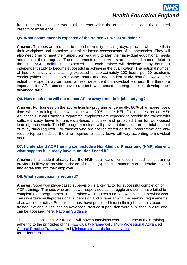from rotations or placements in other areas within the organisation to gain the required breadth of experience.

#### **Q5. What commitment is expected of the trainee AP whilst studying?**

**Answer:** Trainees are required to attend university teaching days, practise clinical skills in their workplace and complete workplace-based assessments of competencies. They will also need time to meet their supervisor regularly to plan their individual educational needs and monitor their progress. The requirements of supervisors are explained in more detail in the [HEE ACP Toolkit.](https://cs1.e-learningforhealthcare.org.uk/public/ACP/ACP_01_001/index.html#/) It is expected that each trainee will dedicate many hours to independent study to become successful in achieving the qualification. The notional number of hours of study and teaching expected is approximately 100 hours per 10 academic credits (which includes both contact hours and independent study hours) however, the actual time spent may be more, or less, dependent on individual learners. It is therefore important for AP trainees have sufficient work-based learning time to develop their advanced skills.

#### **Q6. How much time will the trainee AP be away from their job studying?**

**Answer:** For trainees on the apprenticeship programme, generally, 80% of an apprentice's time will be training in the workplace with 20% at the HEI. For trainees on an MSc Advanced Clinical Practice Programme, employers are expected to provide the trainee with sufficient study leave for university-based modules and protected time for work-based learning each week. The HEI programme lead will provide information on the total amount of study days required. For trainees who are not registered on a full programme and only require top-up modules, the time required for study leave will vary according to individual need.

#### **Q7. I understand ACP training can include a Non-Medical Prescribing (NMP) element, what happens if I already have it, or I don't need it?**

**Answer:** If a student already has the NMP qualification or doesn't need it the training provider is likely to provide a choice of module(s) that the student can undertake instead and agree this with their employer.

#### **Q8. What supervision is required?**

**Answer:** Good workplace-based supervision is a key factor for successful completion of ACP training. Trainees who are not well supervised can struggle and some have failed to complete their programmes. Each trainee AP requires a named workplace supervisor who can undertake multi-professional supervision and is familiar with the learning requirements of advanced practice. Supervisors must have protected time in their job plan to support the trainee. National guidelines on Advanced Practice supervision were published in 2020 and can be accessed here: [National Guidance](https://www.hee.nhs.uk/our-work/advanced-practice/reports-publications/workplace-supervision-advanced-clinical-practice)

The expectation is that AP trainees will have supervision over the course of their training adhering to the principles of the [HEE Quality Framework,](https://nshcs.hee.nhs.uk/publications/health-education-england-hee-quality-framework-from-2021/) [Multi-Professional Advanced](https://www.hee.nhs.uk/sites/default/files/documents/multi-professionalframeworkforadvancedclinicalpracticeinengland.pdf)  [Clinical Practice Framework](https://www.hee.nhs.uk/sites/default/files/documents/multi-professionalframeworkforadvancedclinicalpracticeinengland.pdf) and [Minimum standards for supervision](https://healtheducationengland-my.sharepoint.com/:b:/g/personal/geoffrey_jonas_hee_nhs_uk/EdU9RGINjt9IuqIcp1e0SaoBWFrzNVK125Bfc0HF_CtWmw?e=42hzOo) for all learners**.**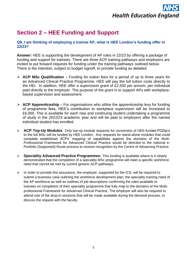### **Section 2 – HEE Funding and Support**

#### **Q9. I am thinking of employing a trainee AP, what is HEE London's funding offer in 22/23?**

**Answer:** HEE is supporting the development of AP roles in 22/23 by offering a package of funding and support for trainees. There are three ACP training pathways and employers are invited to put forward requests for funding under the training pathways outlined below. There is the intention, subject to budget signoff, to provide funding as detailed:

- ➢ **ACP MSc Qualification** Funding for tuition fees for a period of up to three years for an Advanced Clinical Practice Programme. HEE will pay the full tuition costs directly to the HEI. In addition, HEE offer a supervision grant of £2,500 per annum, per individual paid directly to the employer. The purpose of the grant is to support APs with workplacebased supervision and assessment.
- ➢ **ACP Apprenticeship**  For organisations who utilise the apprenticeship levy for funding of programme fees, HEE's contribution to workplace supervision will be increased to £6,000. This is available for each new and continuing student undertaking a programme of study in the 2022/23 academic year and will be paid to employers after the named individual student has enrolled.
- ➢ **ACP Top-Up Modules** Only top-up module requests for conversion of HEE-funded PGDip's to the full MSc will be funded by HEE London. Any requests for stand-alone modules that could complete established ACPs' mapping of capabilities against the domains of the Multi-Professional Framework for Advanced Clinical Practice would be directed to the national e-Portfolio (Supported) Route process to receive recognition by the Centre of Advancing Practice.
- ➢ **Speciality Advanced Practice Programmes:** This funding is available where is it clearly demonstrated that the completion of a speciality MSc programme will meet a specific workforce need that cannot be met by current generic ACP pathways.
- $\triangleright$  In order to provide this assurance, the employer, supported by the ICS, will be required to submit a business case outlining the workforce development plan, the speciality training need of the AP workforce as well as outlines of job descriptions confirming the roles available to trainees on completion of their speciality programme that fully map to the domains of the Multiprofessional Framework for Advanced Clinical Practice. The employer will also be required to attend one of the drop-in sessions that will be made available during the demand process, to discuss the request with the faculty.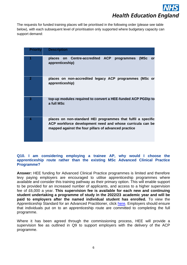The requests for funded training places will be prioritised in the following order (please see table below), with each subsequent level of prioritisation only supported where budgetary capacity can support demand:

| <b>Priority</b> | <b>Description</b>                                                                                                                                                                |
|-----------------|-----------------------------------------------------------------------------------------------------------------------------------------------------------------------------------|
|                 |                                                                                                                                                                                   |
|                 | on Centre-accredited ACP programmes<br>places<br>(MSc<br>or<br>apprenticeship)                                                                                                    |
| 2               | places on non-accredited legacy ACP programmes (MSc or<br>apprenticeship)                                                                                                         |
| 3               | top-up modules required to convert a HEE-funded ACP PGDip to<br>a full MSc                                                                                                        |
| 4               | places on non-standard HEI programmes that fulfil a specific<br>ACP workforce development need and whose curricula can be<br>mapped against the four pillars of advanced practice |

#### **Q10. I am considering employing a trainee AP, why would I choose the apprenticeship route rather than the existing MSc Advanced Clinical Practice Programme?**

**Answer:** HEE funding for Advanced Clinical Practice programmes is limited and therefore levy paying employers are encouraged to utilise apprenticeship programmes where available and consider this training pathway as their primary option. This will enable support to be provided for an increased number of applicants, and access to a higher supervision fee of £6,000 a year. **This supervision fee is available for each new and continuing student undertaking a programme of study in the 2022/23 academic year and will be paid to employers after the named individual student has enrolled.** To view the Apprenticeship Standard for an Advanced Practitioner, click [here.](https://haso.skillsforhealth.org.uk/wp-content/uploads/2017/04/2017.11.14-Advanced-Clinical-Practice-Apprenticeship-Standard-Final.pdf) Employers should ensure that individuals put on to an apprenticeship route are committed to completing the full programme.

Where it has been agreed through the commissioning process, HEE will provide a supervision fee as outlined in Q9 to support employers with the delivery of the ACP programme.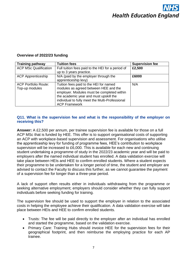#### **Overview of 2022/23 funding**

| <b>Training pathway</b>      | <b>Tuition fees</b>                               | <b>Supervision fee</b> |
|------------------------------|---------------------------------------------------|------------------------|
| <b>ACP MSc Qualification</b> | Full tuition fees paid to the HEI for a period of | £2,500                 |
|                              | up to 3 years practice.                           |                        |
| <b>ACP Apprenticeship</b>    | N/A (paid by the employer through the             | £6000                  |
|                              | apprenticeship levy)                              |                        |
| <b>ACP Portfolio Route:</b>  | Tuition fees paid to the HEI for named            | N/A                    |
| Top-up modules               | modules as agreed between HEE and the             |                        |
|                              | employer. Modules must be completed within        |                        |
|                              | the academic year and must upskill the            |                        |
|                              | individual to fully meet the Multi-Professional   |                        |
|                              | <b>ACP Framework</b>                              |                        |

#### **Q11. What is the supervision fee and what is the responsibility of the employer on receiving this?**

**Answer:** A £2,500 per annum, per trainee supervision fee is available for those on a full ACP MSc that is funded by HEE. This offer is to support organisational costs of supporting an ACP with workplace-based supervision and assessment. For organisations who utilise the apprenticeship levy for funding of programme fees, HEE's contribution to workplace supervision will be increased to £6,000. This is available for each new and continuing student undertaking a programme of study in the 2022/23 academic year and will be paid to employers after the named individual student has enrolled. A data validation exercise will take place between HEIs and HEE to confirm enrolled students. Where a student expects their programme to be undertaken for a longer period of time, the student and employer are advised to contact the Faculty to discuss this further, as we cannot guarantee the payment of a supervision fee for longer than a three-year period.

A lack of support often results either in individuals withdrawing from the programme or seeking alternative employment; employers should consider whether they can fully support individuals before seeking funding for training.

The supervision fee should be used to support the employer in relation to the associated costs in helping the employee achieve their qualification. A data validation exercise will take place between HEIs and HEE to confirm enrolled students.

- Trusts: The fee will be paid directly to the employer after an individual has enrolled and started the programme, based on the validation exercise.
- Primary Care: Training Hubs should invoice HEE for the supervision fees for their geographical footprint, and then reimburse the employing practice for each AP trainee.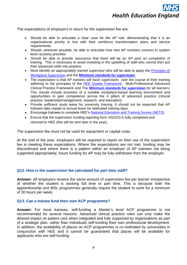The expectations of employers in return for the supervision fee are:

- Should be able to articulate *a clear case for the AP role*, demonstrating that it is an organisational priority in line with their workforce transformation plans and service requirements.
- Should, wherever possible, be able to articulate how new AP numbers connect to system level recovery priorities
- Should be able to provide assurance that there will be *an AP post on completion of training*. This is necessary to avoid investing in the upskilling of staff who cannot then put their advanced skills into practice.
- Must *identify an appropriately trained supervisor* who will be able to apply the [Principles of](https://www.hee.nhs.uk/our-work/advanced-practice/reports-publications/workplace-supervision-advanced-clinical-practice)  [Workplace Supervision](https://www.hee.nhs.uk/our-work/advanced-practice/reports-publications/workplace-supervision-advanced-clinical-practice) and the **[Minimum standards for supervision](https://healtheducationengland-my.sharepoint.com/:b:/g/personal/geoffrey_jonas_hee_nhs_uk/EdU9RGINjt9IuqIcp1e0SaoBWFrzNVK125Bfc0HF_CtWmw?e=42hzOo)**
- The expectation is that AP trainees will have supervision over the course of their training adhering to the principles of the **HEE Quality Framework**, Multi-Professional Advanced Clinical Practice Framework and The **[Minimum standards for supervision](https://healtheducationengland-my.sharepoint.com/:b:/g/personal/geoffrey_jonas_hee_nhs_uk/EdU9RGINjt9IuqIcp1e0SaoBWFrzNVK125Bfc0HF_CtWmw?e=42hzOo)** for all learners. This should include provision of a suitable workplace-based learning environment and opportunities to gain competence across the 4 pillars of advanced practice (clinical practice, leadership/management, research, and education).
- Provide sufficient study leave for university training. It should not be expected that AP trainees take unpaid or annual leave for dedicated training days.
- Encourage trainees to complete HEE's [National Education and Training Survey \(NETS\)](https://www.hee.nhs.uk/our-work/quality/national-education-training-survey)
- Ensure that the supervision funding reporting form 2022/23 is fully completed and returned to HEE (this will be sent later in the year).

The supervision fee must not be used for equipment or capital costs.

At the end of the year, employers will be required to report on their use of the supervision fee in meeting these expectations. Where the expectations are not met, funding may be discontinued and where there is a pattern within an employer of AP trainees not being supported appropriately, future funding for AP may be fully withdrawn from the employer.

#### **Q12. How is the supervision fee calculated for part time staff?**

**Answer:** All employers receive the same amount of supervision fee per learner irrespective of whether the student is working full time or part time. This is because both the apprenticeship and MSc programmes generally require the student to work for a minimum of 30 hours per week.

#### **Q13. Can a trainee fund their own ACP programme?**

**Answer:** For most trainees, self-funding a Master's level ACP programme is not recommended for several reasons. Advanced clinical practice roles can only make the desired impact on patient care when integrated and fully supported by organisations as part of a strategic plan, rather than individuals self-funding their own professional development. In addition, the availability of places on ACP programmes is co-ordinated by universities in conjunction with HEE and it cannot be guaranteed that places will be available for applicants who are self-funding.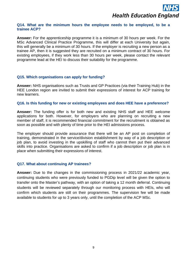#### **Q14. What are the minimum hours the employee needs to be employed, to be a trainee ACP?**

**Answer:** For the apprenticeship programme it is a minimum of 30 hours per week. For the MSc Advanced Clinical Practice Programme, this will differ at each University but again, this will generally be a minimum of 30 hours. If the employer is recruiting a new person as a trainee AP, then it is suggested they are recruited on a minimum contract of 30 hours. For existing employees, if they work less than 30 hours per week, please contact the relevant programme lead at the HEI to discuss their suitability for the programme.

#### **Q15. Which organisations can apply for funding?**

**Answer:** NHS organisations such as Trusts and GP Practices (via their Training Hub) in the HEE London region are invited to submit their expressions of interest for ACP training for new learners.

#### **Q16. Is this funding for new or existing employees and does HEE have a preference?**

**Answer:** The funding offer is for both new and existing NHS staff and HEE welcome applications for both. However, for employers who are planning on recruiting a new member of staff, it is recommended financial commitment for the recruitment is obtained as soon as possible and with plenty of time prior to the HEI admissions process.

The employer should provide assurance that there will be an AP post on completion of training, demonstrated in the service/division establishment by way of a job description or job plan, to avoid investing in the upskilling of staff who cannot then put their advanced skills into practice. Organisations are asked to confirm if a job description or job plan is in place when submitting their expressions of interest.

#### **Q17. What about continuing AP trainees?**

**Answer:** Due to the changes in the commissioning process in 2021/22 academic year, continuing students who were previously funded to PGDip level will be given the option to transfer onto the Master's pathway, with an option of taking a 12 month deferral. Continuing students will be reviewed separately through our monitoring process with HEIs, who will confirm which students are still on their programmes. The supervision fee will be made available to students for up to 3 years only, until the completion of the ACP MSc.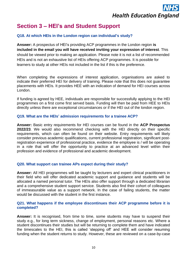### **Section 3 – HEI's and Student Support**

#### **Q18. At which HEIs in the London region can individual's study?**

**Answer:** A prospectus of HEI's providing ACP programmes in the London region **is included in the email you will have received inviting your expression of interest**. This should be viewed prior to making an application. Please note it is not a list of recommended HEIs and is not an exhaustive list of HEIs offering ACP programmes. It is possible for learners to study at other HEIs not included in the list if this is the preference.

When completing the expressions of interest application, organisations are asked to indicate their preferred HEI for delivery of training. Please note that this does not guarantee placements with HEIs. It provides HEE with an indication of demand for HEI courses across London.

If funding is agreed by HEE, individuals are responsible for successfully applying to the HEI programmes on a first come first served basis. Funding will then be paid from HEE to HEIs directly unless there are exceptional circumstances or if the HEI out of the london region.

#### **Q19. What are the HEIs' admission requirements for a trainee ACP?**

**Answer:** Basic entry requirements for HEI courses can be found in the **ACP Prospectus 2022/23**. We would also recommend checking with the HEI directly on their specific requirements, which can often be found on their website. Entry requirements will likely consider previous academic qualifications, current professional registration, significant postregistration experience of professional practice, evidence the employee is / will be operating in a role that will offer the opportunity to practice at an advanced level within their profession and evidence of professional and academic development.

#### **Q20. What support can trainee APs expect during their study?**

**Answer:** All HEI programmes will be taught by lecturers and expert clinical practitioners in their field who will offer dedicated academic support and guidance and students will be allocated a named personal tutor. The HEIs also offer support through a dedicated librarian and a comprehensive student support service. Students also find their cohort of colleagues of immeasurable value as a support network. In the case of failing students, the matter would be discussed with the student in the first instance.

#### **Q21. What happens if the employee discontinues their ACP programme before it is completed?**

**Answer:** It is recognised, from time to time, some students may have to suspend their study e.g., for long term sickness, change of employment, personal reasons etc. Where a student discontinues their studies but will be returning to complete them and have indicated the timescales to the HEI, this is called 'stepping off' and HEE will consider resuming funding when the student returns to study. However, these are reviewed on a case-by-case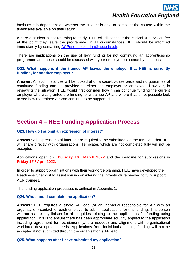basis as it is dependent on whether the student is able to complete the course within the timescales available on their return.

Where a student is not returning to study, HEE will discontinue the clinical supervision fee at the point they leave the programme. In all circumstances HEE should be informed immediately by contacting [ACPenqurieslondon@hee.nhs.uk.](mailto:ACPenqurieslondon@hee.nhs.uk)

There are implications on the use of levy funding for not continuing an apprenticeship programme and these should be discussed with your employer on a case-by-case basis.

#### **Q22. What happens if the trainee AP leaves the employer that HEE is currently funding, for another employer?**

**Answer:** All such instances will be looked at on a case-by-case basis and no guarantee of continued funding can be provided to either the employer or employee. However, in reviewing the situation, HEE would first consider how it can continue funding the current employer who was granted the funding for a trainee AP and where that is not possible look to see how the trainee AP can continue to be supported.

### **Section 4 – HEE Funding Application Process**

#### **Q23. How do I submit an expression of interest?**

**Answer:** All expressions of interest are required to be submitted via the template that HEE will share directly with organisations. Templates which are not completed fully will not be accepted.

Applications open on **Thursday 10th March 2022** and the deadline for submissions is **Friday 15th April 2022.**

In order to support organisations with their workforce planning, HEE have developed the Readiness Checklist to assist you in considering the infrastructure needed to fully support ACP trainees.

The funding application processes is outlined in Appendix 1.

#### **Q24. Who should complete the application?**

**Answer:** HEE requires a single AP lead (or an individual responsible for AP with an organisation) contact for each employer to submit applications for this funding. This person will act as the key liaison for all enquiries relating to the applications for funding being applied for. This is to ensure there has been appropriate scrutiny applied to the application including agreement for recruitment (where needed) and alignment with organisational workforce development needs. Applications from individuals seeking funding will not be accepted if not submitted through the organisation's AP lead.

#### **Q25. What happens after I have submitted my application?**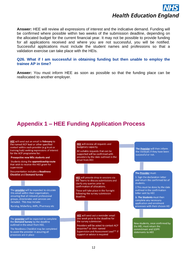**Answer:** HEE will review all expressions of interest and the indicative demand. Funding will be confirmed where possible within two weeks of the submission deadline, depending on the allocated budget for the current financial year. It may not be possible to provide funding for all applications received and where you are not successful, you will be notified. Successful applications must include the student names and professions so that a validation exercise can take place with the HEIs.

#### **Q26. What if I am successful in obtaining funding but then unable to employ the trainee AP in time?**

**Answer:** You must inform HEE as soon as possible so that the funding place can be reallocated to another employer.

### **Appendix 1 – HEE Funding Application Process**